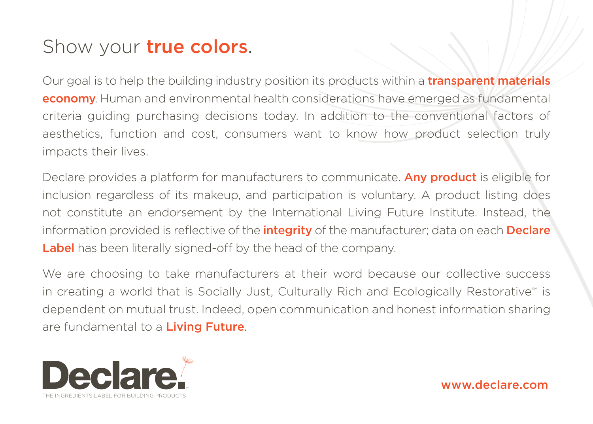## Show your true colors.

Our goal is to help the building industry position its products within a **transparent materials economy**. Human and environmental health considerations have emerged as fundamental criteria guiding purchasing decisions today. In addition to the conventional factors of aesthetics, function and cost, consumers want to know how product selection truly impacts their lives.

Declare provides a platform for manufacturers to communicate. **Any product** is eligible for inclusion regardless of its makeup, and participation is voluntary. A product listing does not constitute an endorsement by the International Living Future Institute. Instead, the information provided is reflective of the **integrity** of the manufacturer; data on each **Declare** Label has been literally signed-off by the head of the company.

We are choosing to take manufacturers at their word because our collective success in creating a world that is Socially Just, Culturally Rich and Ecologically Restorative<sup>®</sup> is dependent on mutual trust. Indeed, open communication and honest information sharing are fundamental to a **Living Future**.